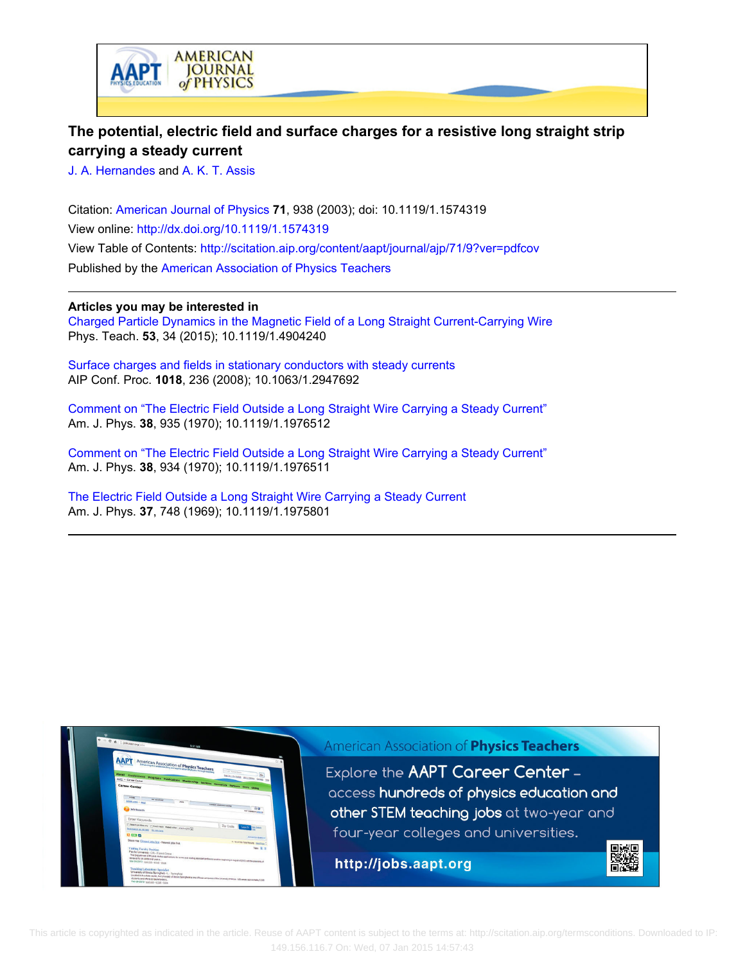

# **The potential, electric field and surface charges for a resistive long straight strip carrying a steady current**

[J. A. Hernandes](http://scitation.aip.org/search?value1=J.+A.+Hernandes&option1=author) and [A. K. T. Assis](http://scitation.aip.org/search?value1=A.+K.+T.+Assis&option1=author)

Citation: [American Journal of Physics](http://scitation.aip.org/content/aapt/journal/ajp?ver=pdfcov) **71**, 938 (2003); doi: 10.1119/1.1574319 View online: <http://dx.doi.org/10.1119/1.1574319> View Table of Contents: <http://scitation.aip.org/content/aapt/journal/ajp/71/9?ver=pdfcov> Published by the [American Association of Physics Teachers](http://scitation.aip.org/content/aapt?ver=pdfcov)

## **Articles you may be interested in**

[Charged Particle Dynamics in the Magnetic Field of a Long Straight Current-Carrying Wire](http://scitation.aip.org/content/aapt/journal/tpt/53/1/10.1119/1.4904240?ver=pdfcov) Phys. Teach. **53**, 34 (2015); 10.1119/1.4904240

[Surface charges and fields in stationary conductors with steady currents](http://scitation.aip.org/content/aip/proceeding/aipcp/10.1063/1.2947692?ver=pdfcov) AIP Conf. Proc. **1018**, 236 (2008); 10.1063/1.2947692

[Comment on "The Electric Field Outside a Long Straight Wire Carrying a Steady Current"](http://scitation.aip.org/content/aapt/journal/ajp/38/7/10.1119/1.1976512?ver=pdfcov) Am. J. Phys. **38**, 935 (1970); 10.1119/1.1976512

[Comment on "The Electric Field Outside a Long Straight Wire Carrying a Steady Current"](http://scitation.aip.org/content/aapt/journal/ajp/38/7/10.1119/1.1976511?ver=pdfcov) Am. J. Phys. **38**, 934 (1970); 10.1119/1.1976511

[The Electric Field Outside a Long Straight Wire Carrying a Steady Current](http://scitation.aip.org/content/aapt/journal/ajp/37/7/10.1119/1.1975801?ver=pdfcov) Am. J. Phys. **37**, 748 (1969); 10.1119/1.1975801



 This article is copyrighted as indicated in the article. Reuse of AAPT content is subject to the terms at: http://scitation.aip.org/termsconditions. Downloaded to IP: 149.156.116.7 On: Wed, 07 Jan 2015 14:57:43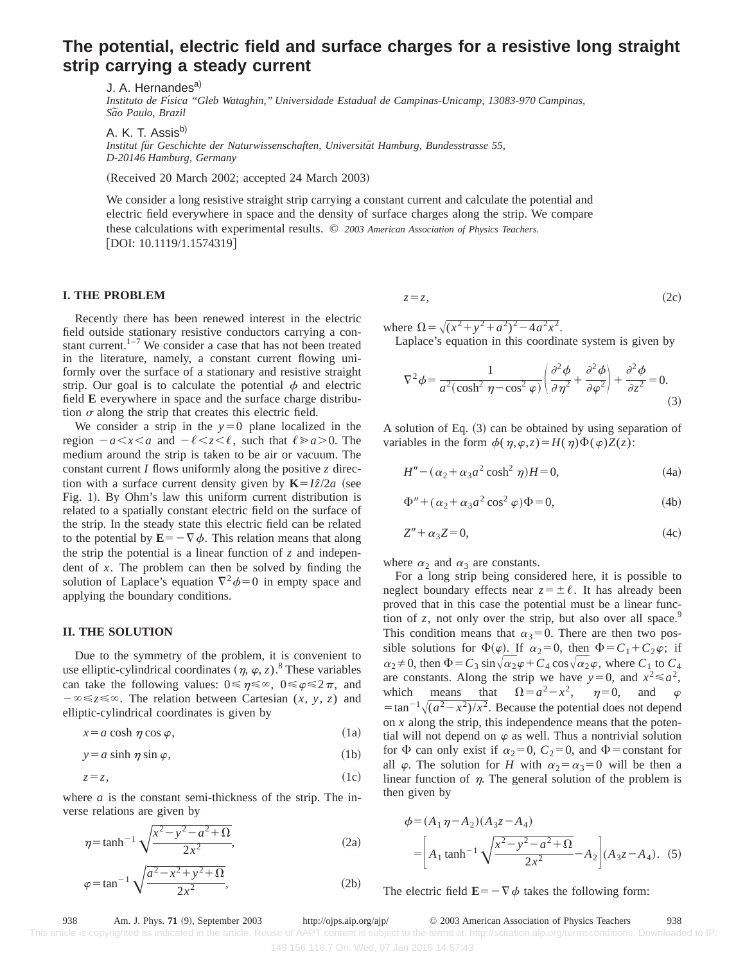# **The potential, electric field and surface charges for a resistive long straight strip carrying a steady current**

J. A. Hernandes<sup>a)</sup> *Instituto de Fı´sica ''Gleb Wataghin,'' Universidade Estadual de Campinas-Unicamp, 13083-970 Campinas, Sa˜o Paulo, Brazil*

A. K. T. Assis<sup>b)</sup> *Institut fu¨r Geschichte der Naturwissenschaften, Universita¨t Hamburg, Bundesstrasse 55, D-20146 Hamburg, Germany*

(Received 20 March 2002; accepted 24 March 2003)

We consider a long resistive straight strip carrying a constant current and calculate the potential and electric field everywhere in space and the density of surface charges along the strip. We compare these calculations with experimental results. © *2003 American Association of Physics Teachers.*  $[DOI: 10.1119/1.1574319]$ 

#### **I. THE PROBLEM**

Recently there has been renewed interest in the electric field outside stationary resistive conductors carrying a constant current. $1-7$  We consider a case that has not been treated in the literature, namely, a constant current flowing uniformly over the surface of a stationary and resistive straight strip. Our goal is to calculate the potential  $\phi$  and electric field **E** everywhere in space and the surface charge distribution  $\sigma$  along the strip that creates this electric field.

We consider a strip in the  $y=0$  plane localized in the region  $-a \lt x \lt a$  and  $-\ell \lt z \lt \ell$ , such that  $\ell \ge a \ge 0$ . The medium around the strip is taken to be air or vacuum. The constant current *I* flows uniformly along the positive *z* direction with a surface current density given by  $K = I\hat{z}/2a$  (see Fig. 1). By Ohm's law this uniform current distribution is related to a spatially constant electric field on the surface of the strip. In the steady state this electric field can be related to the potential by  $\mathbf{E} = -\nabla \phi$ . This relation means that along the strip the potential is a linear function of *z* and independent of *x*. The problem can then be solved by finding the solution of Laplace's equation  $\nabla^2 \phi = 0$  in empty space and applying the boundary conditions.

### **II. THE SOLUTION**

Due to the symmetry of the problem, it is convenient to use elliptic-cylindrical coordinates  $(n, \varphi, z)$ .<sup>8</sup> These variables can take the following values:  $0 \le \eta \le \infty$ ,  $0 \le \varphi \le 2\pi$ , and  $-\infty \leq z \leq \infty$ . The relation between Cartesian  $(x, y, z)$  and elliptic-cylindrical coordinates is given by

$$
x = a \cosh \eta \cos \varphi, \tag{1a}
$$

$$
y = a \sinh \eta \sin \varphi, \tag{1b}
$$

$$
z=z,\tag{1c}
$$

where *a* is the constant semi-thickness of the strip. The inverse relations are given by

$$
\eta = \tanh^{-1} \sqrt{\frac{x^2 - y^2 - a^2 + \Omega}{2x^2}},
$$
\n(2a)

$$
\varphi = \tan^{-1} \sqrt{\frac{a^2 - x^2 + y^2 + \Omega}{2x^2}},
$$
\n(2b)

$$
z=z,\tag{2c}
$$

where  $\Omega = \sqrt{(x^2 + y^2 + a^2)^2 - 4a^2x^2}$ .

Laplace's equation in this coordinate system is given by

$$
\nabla^2 \phi = \frac{1}{a^2(\cosh^2 \eta - \cos^2 \varphi)} \left( \frac{\partial^2 \phi}{\partial \eta^2} + \frac{\partial^2 \phi}{\partial \varphi^2} \right) + \frac{\partial^2 \phi}{\partial z^2} = 0.
$$
\n(3)

A solution of Eq.  $(3)$  can be obtained by using separation of variables in the form  $\phi(\eta,\varphi,z) = H(\eta)\Phi(\varphi)Z(z)$ :

$$
H'' - (\alpha_2 + \alpha_3 a^2 \cosh^2 \eta)H = 0,
$$
\n(4a)

$$
\Phi'' + (\alpha_2 + \alpha_3 a^2 \cos^2 \varphi) \Phi = 0, \tag{4b}
$$

$$
Z'' + \alpha_3 Z = 0,\t\t(4c)
$$

where  $\alpha_2$  and  $\alpha_3$  are constants.

For a long strip being considered here, it is possible to neglect boundary effects near  $z = \pm \ell$ . It has already been proved that in this case the potential must be a linear function of  $z$ , not only over the strip, but also over all space.<sup>9</sup> This condition means that  $\alpha_3=0$ . There are then two possible solutions for  $\Phi(\varphi)$ . If  $\alpha_2=0$ , then  $\Phi=C_1+C_2\varphi$ ; if  $\alpha_2 \neq 0$ , then  $\Phi = C_3 \sin{\sqrt{\alpha_2 \varphi + C_4 \cos{\sqrt{\alpha_2 \varphi}}}}$ , where  $C_1$  to  $C_4$ are constants. Along the strip we have  $y=0$ , and  $x^2 \le a^2$ , which means that  $\Omega = a^2 - x^2$ ,  $\eta = 0$ , and  $t = \tan^{-1} \sqrt{(a^2 - x^2)/x^2}$ . Because the potential does not depend on *x* along the strip, this independence means that the potential will not depend on  $\varphi$  as well. Thus a nontrivial solution for  $\Phi$  can only exist if  $\alpha_2=0$ ,  $C_2=0$ , and  $\Phi$ =constant for all  $\varphi$ . The solution for *H* with  $\alpha_2 = \alpha_3 = 0$  will be then a linear function of  $\eta$ . The general solution of the problem is then given by

$$
\phi = (A_1 \eta - A_2)(A_3 z - A_4)
$$
  
=  $\left[ A_1 \tanh^{-1} \sqrt{\frac{x^2 - y^2 - a^2 + \Omega}{2x^2}} - A_2 \right] (A_3 z - A_4).$  (5)

The electric field  $\mathbf{E}=-\nabla \phi$  takes the following form:

938 Am. J. Phys. 71 (9), September 2003 http://ojps.aip.org/ajp/ © 2003 American Association of Physics Teachers 938

This article is copyrighted as indicated in the article. Reuse of AAPT content is subject to the terms at: http://scitation.aip.org/termsconditions. Downloaded to IP: 149.156.116.7 On: Wed, 07 Jan 2015 14:57:43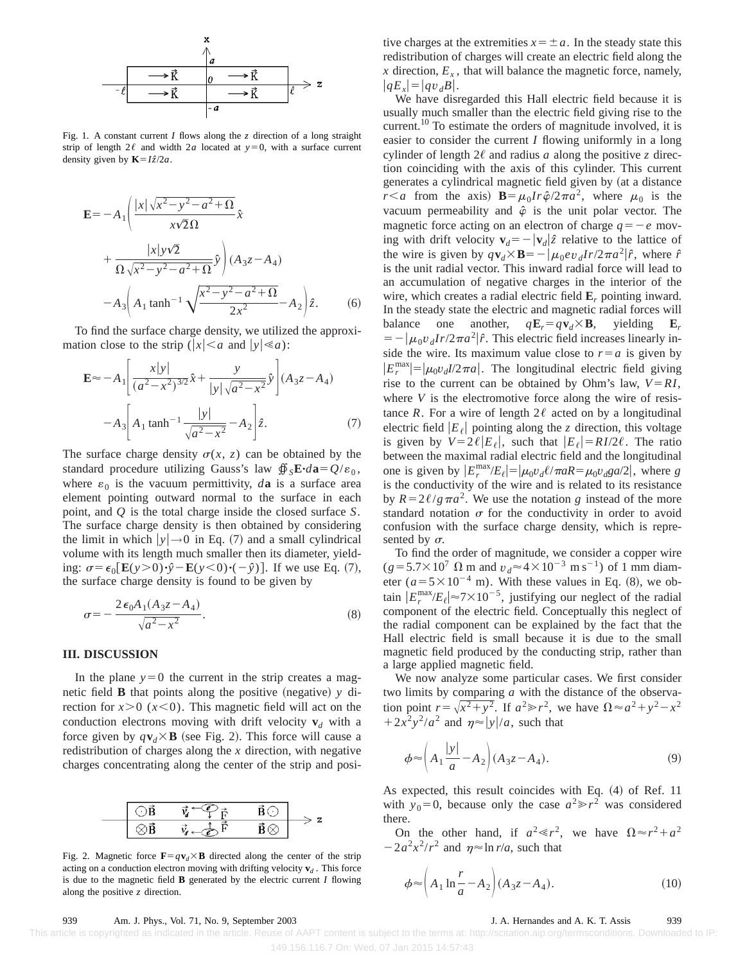

Fig. 1. A constant current *I* flows along the *z* direction of a long straight strip of length  $2\ell$  and width  $2a$  located at  $y=0$ , with a surface current density given by  $\mathbf{K} = I\hat{z}/2a$ .

$$
\mathbf{E} = -A_1 \left( \frac{|x| \sqrt{x^2 - y^2 - a^2 + \Omega}}{x\sqrt{2}\Omega} \hat{x} + \frac{|x| y\sqrt{2}}{\Omega \sqrt{x^2 - y^2 - a^2 + \Omega}} \hat{y} \right) (A_3 z - A_4) -A_3 \left( A_1 \tanh^{-1} \sqrt{\frac{x^2 - y^2 - a^2 + \Omega}{2x^2}} - A_2 \right) \hat{z}.
$$
 (6)

To find the surface charge density, we utilized the approximation close to the strip ( $|x| < a$  and  $|y| \le a$ ):

$$
\mathbf{E} \approx -A_1 \left[ \frac{x|y|}{(a^2 - x^2)^{3/2}} \hat{x} + \frac{y}{|y|\sqrt{a^2 - x^2}} \hat{y} \right] (A_3 z - A_4)
$$

$$
-A_3 \left[ A_1 \tanh^{-1} \frac{|y|}{\sqrt{a^2 - x^2}} - A_2 \right] \hat{z}.
$$
(7)

The surface charge density  $\sigma(x, z)$  can be obtained by the standard procedure utilizing Gauss's law  $\oint_{\mathcal{S}} \mathbf{E} \cdot d\mathbf{a} = Q/\varepsilon_0$ , where  $\varepsilon_0$  is the vacuum permittivity, *d***a** is a surface area element pointing outward normal to the surface in each point, and *Q* is the total charge inside the closed surface *S*. The surface charge density is then obtained by considering the limit in which  $|y| \rightarrow 0$  in Eq. (7) and a small cylindrical volume with its length much smaller then its diameter, yielding:  $\sigma = \epsilon_0 \left[ \mathbf{E}(y > 0) \cdot \hat{y} - \mathbf{E}(y < 0) \cdot (-\hat{y}) \right]$ . If we use Eq. (7), the surface charge density is found to be given by

$$
\sigma = -\frac{2\epsilon_0 A_1 (A_3 z - A_4)}{\sqrt{a^2 - x^2}}.
$$
\n(8)

#### **III. DISCUSSION**

In the plane  $y=0$  the current in the strip creates a magnetic field **B** that points along the positive (negative)  $y$  direction for  $x>0$  ( $x<0$ ). This magnetic field will act on the conduction electrons moving with drift velocity  $\mathbf{v}_d$  with a force given by  $q\mathbf{v}_d \times \mathbf{B}$  (see Fig. 2). This force will cause a redistribution of charges along the *x* direction, with negative charges concentrating along the center of the strip and posi-

Fig. 2. Magnetic force  $\mathbf{F} = q\mathbf{v}_d \times \mathbf{B}$  directed along the center of the strip acting on a conduction electron moving with drifting velocity  $\mathbf{v}_d$ . This force is due to the magnetic field **B** generated by the electric current *I* flowing along the positive *z* direction.

tive charges at the extremities  $x = \pm a$ . In the steady state this redistribution of charges will create an electric field along the  $x$  direction,  $E_x$ , that will balance the magnetic force, namely,  $|qE_x|=|qv_dB|$ .

We have disregarded this Hall electric field because it is usually much smaller than the electric field giving rise to the current.10 To estimate the orders of magnitude involved, it is easier to consider the current *I* flowing uniformly in a long cylinder of length  $2\ell$  and radius *a* along the positive *z* direction coinciding with the axis of this cylinder. This current generates a cylindrical magnetic field given by (at a distance *r*<sup>*<a*</sup> from the axis) **B**= $\mu_0 Ir \hat{\varphi}/2\pi a^2$ , where  $\mu_0$  is the vacuum permeability and  $\hat{\varphi}$  is the unit polar vector. The magnetic force acting on an electron of charge  $q = -e$  moving with drift velocity  $\mathbf{v}_d = -|\mathbf{v}_d| \hat{z}$  relative to the lattice of the wire is given by  $q\mathbf{v}_d \times \mathbf{B} = -|\mu_0 e v_d I r / 2\pi a^2 |\hat{r}$ , where  $\hat{r}$ is the unit radial vector. This inward radial force will lead to an accumulation of negative charges in the interior of the wire, which creates a radial electric field **E***<sup>r</sup>* pointing inward. In the steady state the electric and magnetic radial forces will balance one another,  $q\mathbf{E}_r = q\mathbf{v}_d \times \mathbf{B}$ , yielding  $\mathbf{E}_r$  $= -|\mu_0 v_d Ir/2\pi a^2|\hat{r}$ . This electric field increases linearly inside the wire. Its maximum value close to  $r=a$  is given by  $|E_r^{\text{max}}| = |\mu_0 v_d I/2\pi a|$ . The longitudinal electric field giving rise to the current can be obtained by Ohm's law,  $V = RI$ , where *V* is the electromotive force along the wire of resistance *R*. For a wire of length  $2\ell$  acted on by a longitudinal electric field  $|E_\ell|$  pointing along the *z* direction, this voltage is given by  $V=2\ell|E_\ell|$ , such that  $|E_\ell|=RI/2\ell$ . The ratio between the maximal radial electric field and the longitudinal one is given by  $|E_r^{\max}/E_\ell| = |\mu_0 v_d \ell / \pi a R = \mu_0 v_d g a/2|$ , where *g* is the conductivity of the wire and is related to its resistance by  $R=2\ell/g\pi a^2$ . We use the notation *g* instead of the more standard notation  $\sigma$  for the conductivity in order to avoid confusion with the surface charge density, which is represented by  $\sigma$ .

To find the order of magnitude, we consider a copper wire  $(g=5.7\times10^{7} \Omega \text{ m and } v_d \approx 4\times10^{-3} \text{ m s}^{-1}) \text{ of } 1 \text{ mm diam-}$ eter  $(a=5\times10^{-4} \text{ m})$ . With these values in Eq. (8), we obtain  $|E_r^{\text{max}}/E_\ell| \approx 7 \times 10^{-5}$ , justifying our neglect of the radial component of the electric field. Conceptually this neglect of the radial component can be explained by the fact that the Hall electric field is small because it is due to the small magnetic field produced by the conducting strip, rather than a large applied magnetic field.

We now analyze some particular cases. We first consider two limits by comparing *a* with the distance of the observation point  $r = \sqrt{x^2 + y^2}$ . If  $a^2 \ge r^2$ , we have  $\Omega \approx a^2 + y^2 - x^2$  $+2x^2y^2/a^2$  and  $\eta \approx |y|/a$ , such that

$$
\phi \approx \left( A_1 \frac{|y|}{a} - A_2 \right) (A_3 z - A_4). \tag{9}
$$

As expected, this result coincides with Eq.  $(4)$  of Ref. 11 with  $y_0=0$ , because only the case  $a^2 \gg r^2$  was considered there.

On the other hand, if  $a^2 \ll r^2$ , we have  $\Omega \approx r^2 + a^2$  $-2a^2x^2/r^2$  and  $\eta \approx \ln r/a$ , such that

$$
\phi \approx \left( A_1 \ln \frac{r}{a} - A_2 \right) (A_3 z - A_4). \tag{10}
$$

### 939 Am. J. Phys., Vol. 71, No. 9, September 2003 J. A. Hernandes and A. K. T. Assis 939

 This article is copyrighted as indicated in the article. Reuse of AAPT content is subject to the terms at: http://scitation.aip.org/termsconditions. Downloaded to IP: 149.156.116.7 On: Wed, 07 Jan 2015 14:57:43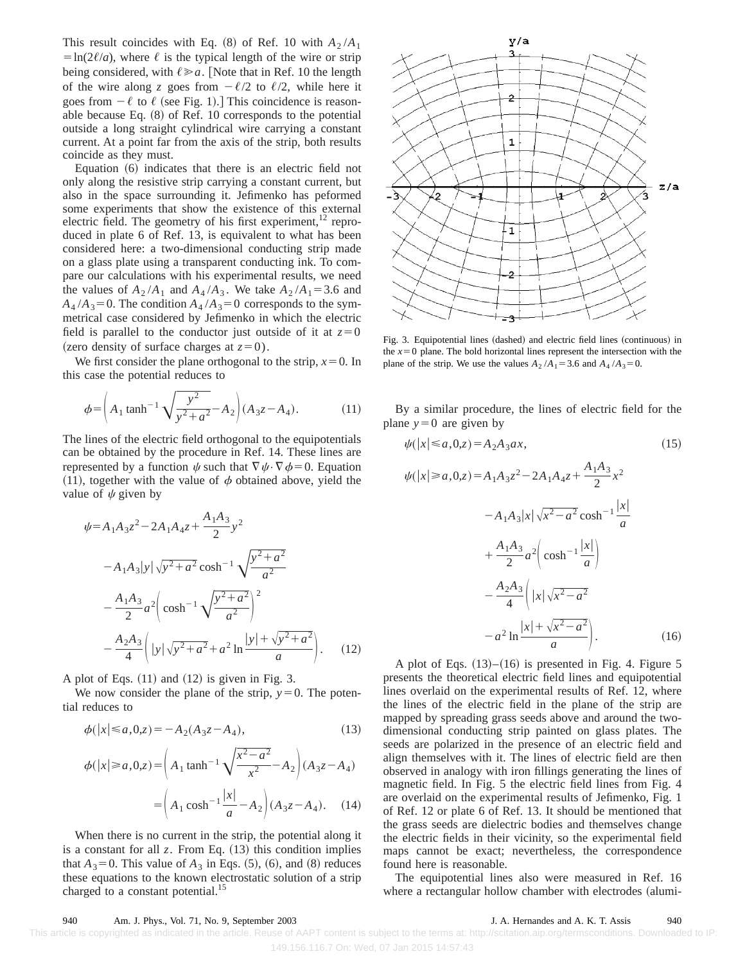This result coincides with Eq.  $(8)$  of Ref. 10 with  $A_2 / A_1$  $=$ ln(2 $\ell/a$ ), where  $\ell$  is the typical length of the wire or strip being considered, with  $\ell \ge a$ . [Note that in Ref. 10 the length of the wire along *z* goes from  $-\ell/2$  to  $\ell/2$ , while here it goes from  $-\ell$  to  $\ell$  (see Fig. 1).] This coincidence is reasonable because Eq.  $(8)$  of Ref. 10 corresponds to the potential outside a long straight cylindrical wire carrying a constant current. At a point far from the axis of the strip, both results coincide as they must.

Equation  $(6)$  indicates that there is an electric field not only along the resistive strip carrying a constant current, but also in the space surrounding it. Jefimenko has peformed some experiments that show the existence of this external electric field. The geometry of his first experiment, $12$  reproduced in plate 6 of Ref. 13, is equivalent to what has been considered here: a two-dimensional conducting strip made on a glass plate using a transparent conducting ink. To compare our calculations with his experimental results, we need the values of  $A_2/A_1$  and  $A_4/A_3$ . We take  $A_2/A_1 = 3.6$  and  $A_4/A_3=0$ . The condition  $A_4/A_3=0$  corresponds to the symmetrical case considered by Jefimenko in which the electric field is parallel to the conductor just outside of it at  $z=0$ (zero density of surface charges at  $z=0$ ).

We first consider the plane orthogonal to the strip,  $x=0$ . In this case the potential reduces to

$$
\phi = \left(A_1 \tanh^{-1} \sqrt{\frac{y^2}{y^2 + a^2}} - A_2\right) (A_3 z - A_4). \tag{11}
$$

The lines of the electric field orthogonal to the equipotentials can be obtained by the procedure in Ref. 14. These lines are represented by a function  $\psi$  such that  $\nabla \psi \cdot \nabla \phi = 0$ . Equation (11), together with the value of  $\phi$  obtained above, yield the value of  $\psi$  given by

$$
\psi = A_1 A_3 z^2 - 2A_1 A_4 z + \frac{A_1 A_3}{2} y^2
$$
  
\n
$$
- A_1 A_3 |y| \sqrt{y^2 + a^2} \cosh^{-1} \sqrt{\frac{y^2 + a^2}{a^2}}
$$
  
\n
$$
- \frac{A_1 A_3}{2} a^2 \left( \cosh^{-1} \sqrt{\frac{y^2 + a^2}{a^2}} \right)^2
$$
  
\n
$$
- \frac{A_2 A_3}{4} \left( |y| \sqrt{y^2 + a^2} + a^2 \ln \frac{|y| + \sqrt{y^2 + a^2}}{a} \right).
$$
 (12)

A plot of Eqs.  $(11)$  and  $(12)$  is given in Fig. 3.

We now consider the plane of the strip,  $y=0$ . The potential reduces to

$$
\phi(|x| \le a, 0, z) = -A_2(A_3 z - A_4),\tag{13}
$$

$$
\phi(|x| \ge a, 0, z) = \left(A_1 \tanh^{-1} \sqrt{\frac{x^2 - a^2}{x^2}} - A_2\right) (A_3 z - A_4)
$$

$$
= \left(A_1 \cosh^{-1} \frac{|x|}{a} - A_2\right) (A_3 z - A_4). \quad (14)
$$

When there is no current in the strip, the potential along it is a constant for all  $z$ . From Eq.  $(13)$  this condition implies that  $A_3=0$ . This value of  $A_3$  in Eqs. (5), (6), and (8) reduces these equations to the known electrostatic solution of a strip charged to a constant potential.<sup>15</sup>



Fig. 3. Equipotential lines (dashed) and electric field lines (continuous) in the  $x=0$  plane. The bold horizontal lines represent the intersection with the plane of the strip. We use the values  $A_2 / A_1 = 3.6$  and  $A_4 / A_3 = 0$ .

By a similar procedure, the lines of electric field for the plane  $y=0$  are given by

$$
\psi(|x| \le a, 0, z) = A_2 A_3 a x,
$$
\n(15)  
\n
$$
\psi(|x| \ge a, 0, z) = A_1 A_3 z^2 - 2A_1 A_4 z + \frac{A_1 A_3}{2} x^2
$$
\n
$$
-A_1 A_3 |x| \sqrt{x^2 - a^2} \cosh^{-1} \frac{|x|}{a}
$$
\n
$$
+ \frac{A_1 A_3}{2} a^2 \left( \cosh^{-1} \frac{|x|}{a} \right)
$$
\n
$$
- \frac{A_2 A_3}{4} \left( |x| \sqrt{x^2 - a^2} - a^2 \ln \frac{|x| + \sqrt{x^2 - a^2}}{a} \right).
$$
\n(16)

A plot of Eqs.  $(13)$ – $(16)$  is presented in Fig. 4. Figure 5 presents the theoretical electric field lines and equipotential lines overlaid on the experimental results of Ref. 12, where the lines of the electric field in the plane of the strip are mapped by spreading grass seeds above and around the twodimensional conducting strip painted on glass plates. The seeds are polarized in the presence of an electric field and align themselves with it. The lines of electric field are then observed in analogy with iron fillings generating the lines of magnetic field. In Fig. 5 the electric field lines from Fig. 4 are overlaid on the experimental results of Jefimenko, Fig. 1 of Ref. 12 or plate 6 of Ref. 13. It should be mentioned that the grass seeds are dielectric bodies and themselves change the electric fields in their vicinity, so the experimental field maps cannot be exact; nevertheless, the correspondence found here is reasonable.

The equipotential lines also were measured in Ref. 16 where a rectangular hollow chamber with electrodes (alumi-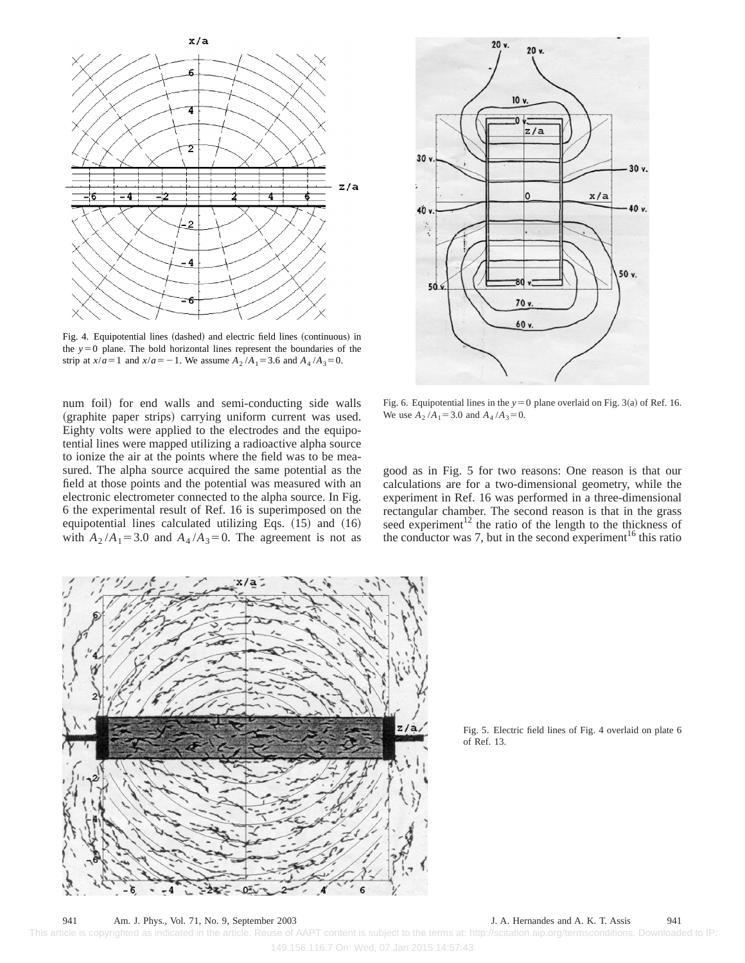

Fig. 4. Equipotential lines (dashed) and electric field lines (continuous) in the  $y=0$  plane. The bold horizontal lines represent the boundaries of the strip at  $x/a = 1$  and  $x/a = -1$ . We assume  $A_2/A_1 = 3.6$  and  $A_4/A_3 = 0$ .

num foil) for end walls and semi-conducting side walls (graphite paper strips) carrying uniform current was used. Eighty volts were applied to the electrodes and the equipotential lines were mapped utilizing a radioactive alpha source to ionize the air at the points where the field was to be measured. The alpha source acquired the same potential as the field at those points and the potential was measured with an electronic electrometer connected to the alpha source. In Fig. 6 the experimental result of Ref. 16 is superimposed on the equipotential lines calculated utilizing Eqs.  $(15)$  and  $(16)$ with  $A_2/A_1 = 3.0$  and  $A_4/A_3 = 0$ . The agreement is not as



Fig. 6. Equipotential lines in the  $y=0$  plane overlaid on Fig. 3(a) of Ref. 16. We use  $A_2 / A_1 = 3.0$  and  $A_4 / A_3 = 0$ .

good as in Fig. 5 for two reasons: One reason is that our calculations are for a two-dimensional geometry, while the experiment in Ref. 16 was performed in a three-dimensional rectangular chamber. The second reason is that in the grass seed experiment $12$  the ratio of the length to the thickness of the conductor was 7, but in the second experiment<sup>16</sup> this ratio



Fig. 5. Electric field lines of Fig. 4 overlaid on plate 6 of Ref. 13.